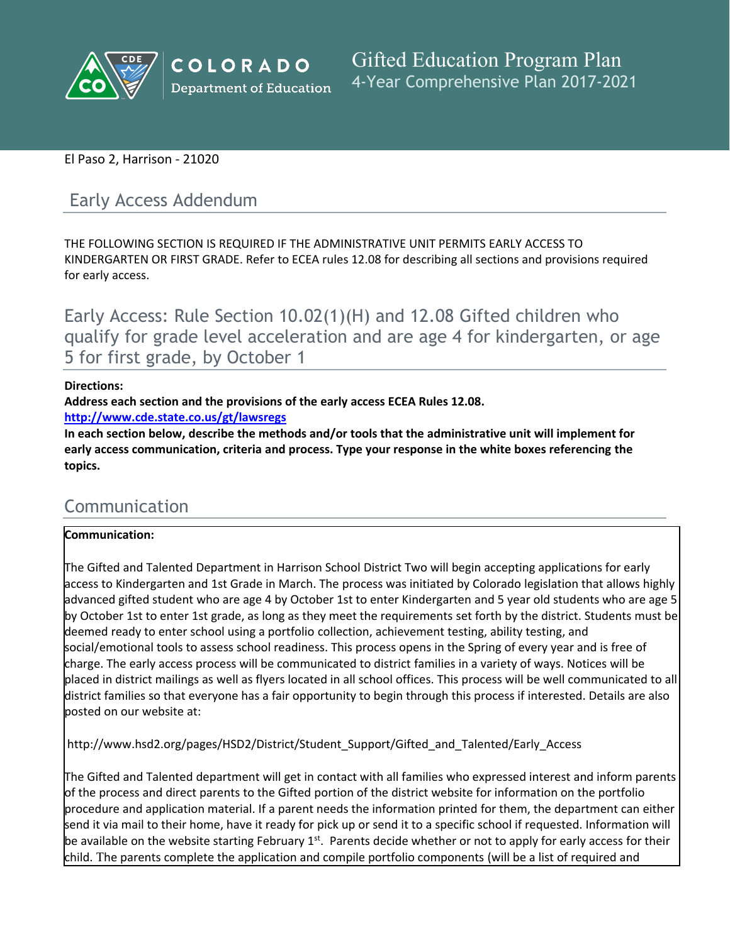

## El Paso 2, Harrison - 21020

# Early Access Addendum

THE FOLLOWING SECTION IS REQUIRED IF THE ADMINISTRATIVE UNIT PERMITS EARLY ACCESS TO KINDERGARTEN OR FIRST GRADE. Refer to ECEA rules 12.08 for describing all sections and provisions required for early access.

Early Access: Rule Section 10.02(1)(H) and 12.08 Gifted children who qualify for grade level acceleration and are age 4 for kindergarten, or age 5 for first grade, by October 1

### **Directions:**

**Address each section and the provisions of the early access ECEA Rules 12.08.**

**<http://www.cde.state.co.us/gt/lawsregs>**

**In each section below, describe the methods and/or tools that the administrative unit will implement for early access communication, criteria and process. Type your response in the white boxes referencing the topics.**

# Communication

## **Communication:**

The Gifted and Talented Department in Harrison School District Two will begin accepting applications for early access to Kindergarten and 1st Grade in March. The process was initiated by Colorado legislation that allows highly advanced gifted student who are age 4 by October 1st to enter Kindergarten and 5 year old students who are age 5 by October 1st to enter 1st grade, as long as they meet the requirements set forth by the district. Students must be deemed ready to enter school using a portfolio collection, achievement testing, ability testing, and social/emotional tools to assess school readiness. This process opens in the Spring of every year and is free of charge. The early access process will be communicated to district families in a variety of ways. Notices will be placed in district mailings as well as flyers located in all school offices. This process will be well communicated to all district families so that everyone has a fair opportunity to begin through this process if interested. Details are also posted on our website at:

http://www.hsd2.org/pages/HSD2/District/Student\_Support/Gifted\_and\_Talented/Early\_Access

The Gifted and Talented department will get in contact with all families who expressed interest and inform parents of the process and direct parents to the Gifted portion of the district website for information on the portfolio procedure and application material. If a parent needs the information printed for them, the department can either send it via mail to their home, have it ready for pick up or send it to a specific school if requested. Information will be available on the website starting February 1<sup>st</sup>. Parents decide whether or not to apply for early access for their child. The parents complete the application and compile portfolio components (will be a list of required and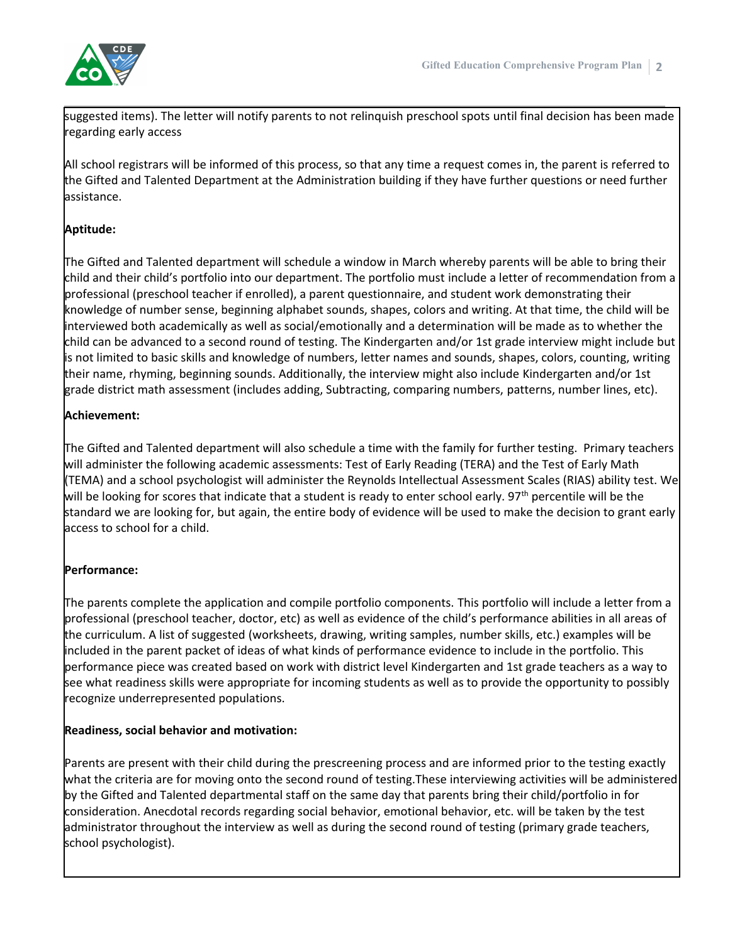

suggested items). The letter will notify parents to not relinquish preschool spots until final decision has been made regarding early access

All school registrars will be informed of this process, so that any time a request comes in, the parent is referred to the Gifted and Talented Department at the Administration building if they have further questions or need further assistance.

# **Aptitude:**

The Gifted and Talented department will schedule a window in March whereby parents will be able to bring their child and their child's portfolio into our department. The portfolio must include a letter of recommendation from a professional (preschool teacher if enrolled), a parent questionnaire, and student work demonstrating their knowledge of number sense, beginning alphabet sounds, shapes, colors and writing. At that time, the child will be interviewed both academically as well as social/emotionally and a determination will be made as to whether the child can be advanced to a second round of testing. The Kindergarten and/or 1st grade interview might include but is not limited to basic skills and knowledge of numbers, letter names and sounds, shapes, colors, counting, writing their name, rhyming, beginning sounds. Additionally, the interview might also include Kindergarten and/or 1st grade district math assessment (includes adding, Subtracting, comparing numbers, patterns, number lines, etc).

# **Achievement:**

The Gifted and Talented department will also schedule a time with the family for further testing. Primary teachers will administer the following academic assessments: Test of Early Reading (TERA) and the Test of Early Math (TEMA) and a school psychologist will administer the Reynolds Intellectual Assessment Scales (RIAS) ability test. We will be looking for scores that indicate that a student is ready to enter school early. 97<sup>th</sup> percentile will be the standard we are looking for, but again, the entire body of evidence will be used to make the decision to grant early access to school for a child.

# **Performance:**

The parents complete the application and compile portfolio components. This portfolio will include a letter from a professional (preschool teacher, doctor, etc) as well as evidence of the child's performance abilities in all areas of the curriculum. A list of suggested (worksheets, drawing, writing samples, number skills, etc.) examples will be included in the parent packet of ideas of what kinds of performance evidence to include in the portfolio. This performance piece was created based on work with district level Kindergarten and 1st grade teachers as a way to see what readiness skills were appropriate for incoming students as well as to provide the opportunity to possibly recognize underrepresented populations.

# **Readiness, social behavior and motivation:**

Parents are present with their child during the prescreening process and are informed prior to the testing exactly what the criteria are for moving onto the second round of testing.These interviewing activities will be administered by the Gifted and Talented departmental staff on the same day that parents bring their child/portfolio in for consideration. Anecdotal records regarding social behavior, emotional behavior, etc. will be taken by the test administrator throughout the interview as well as during the second round of testing (primary grade teachers, school psychologist).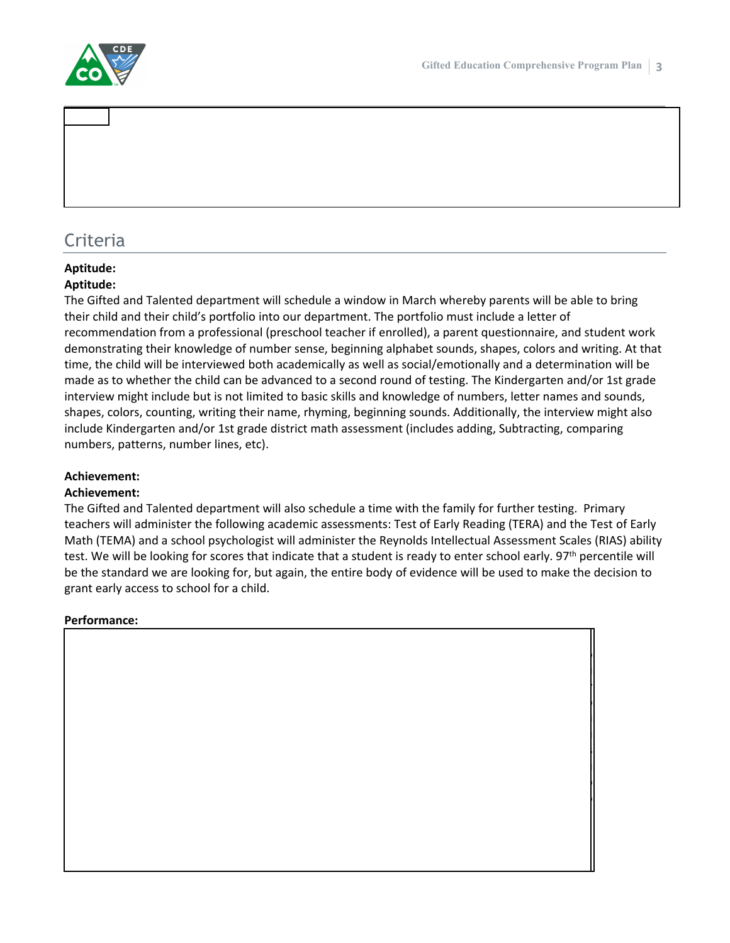

 $\mathbf{r}$  $\mathbf{r}$ **r f**  $\mathbf{I}$ **r m**  $\mathbf{I}$ **n**  $\mathbf{r}$  $\mathbf{r}$ **:**

# Criteria

#### **Aptitude: Aptitude:**

The Gifted and Talented department will schedule a window in March whereby parents will be able to bring their child and their child's portfolio into our department. The portfolio must include a letter of recommendation from a professional (preschool teacher if enrolled), a parent questionnaire, and student work demonstrating their knowledge of number sense, beginning alphabet sounds, shapes, colors and writing. At that time, the child will be interviewed both academically as well as social/emotionally and a determination will be made as to whether the child can be advanced to a second round of testing. The Kindergarten and/or 1st grade interview might include but is not limited to basic skills and knowledge of numbers, letter names and sounds, shapes, colors, counting, writing their name, rhyming, beginning sounds. Additionally, the interview might also include Kindergarten and/or 1st grade district math assessment (includes adding, Subtracting, comparing numbers, patterns, number lines, etc).

# **Achievement:**

# **Achievement:**

The Gifted and Talented department will also schedule a time with the family for further testing. Primary teachers will administer the following academic assessments: Test of Early Reading (TERA) and the Test of Early Math (TEMA) and a school psychologist will administer the Reynolds Intellectual Assessment Scales (RIAS) ability test. We will be looking for scores that indicate that a student is ready to enter school early. 97<sup>th</sup> percentile will be the standard we are looking for, but again, the entire body of evidence will be used to make the decision to grant early access to school for a child.

## **Performance:**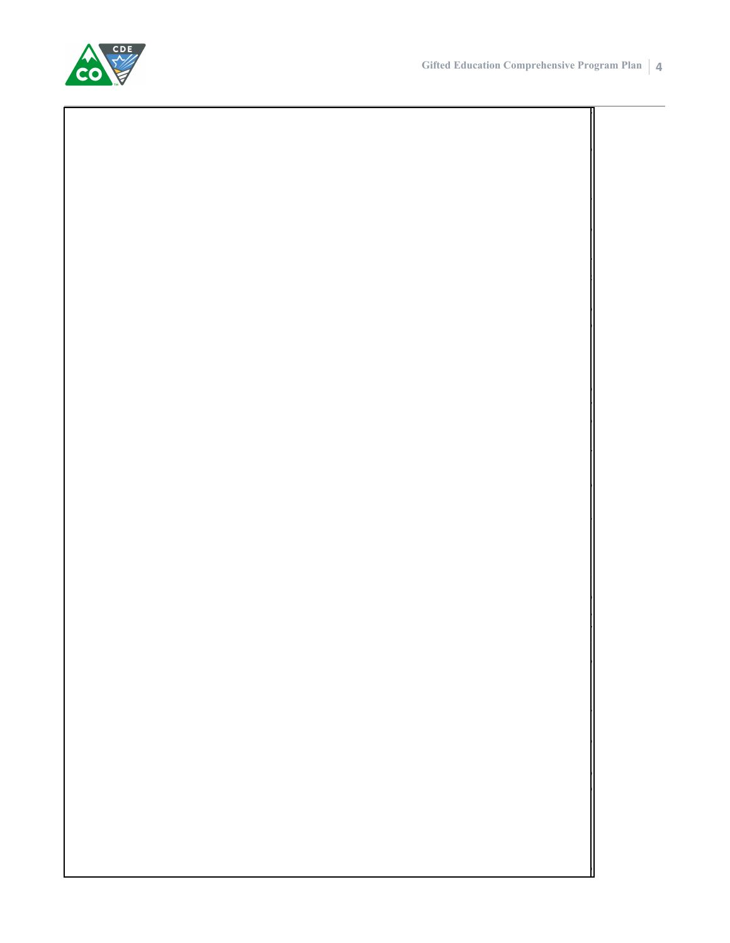

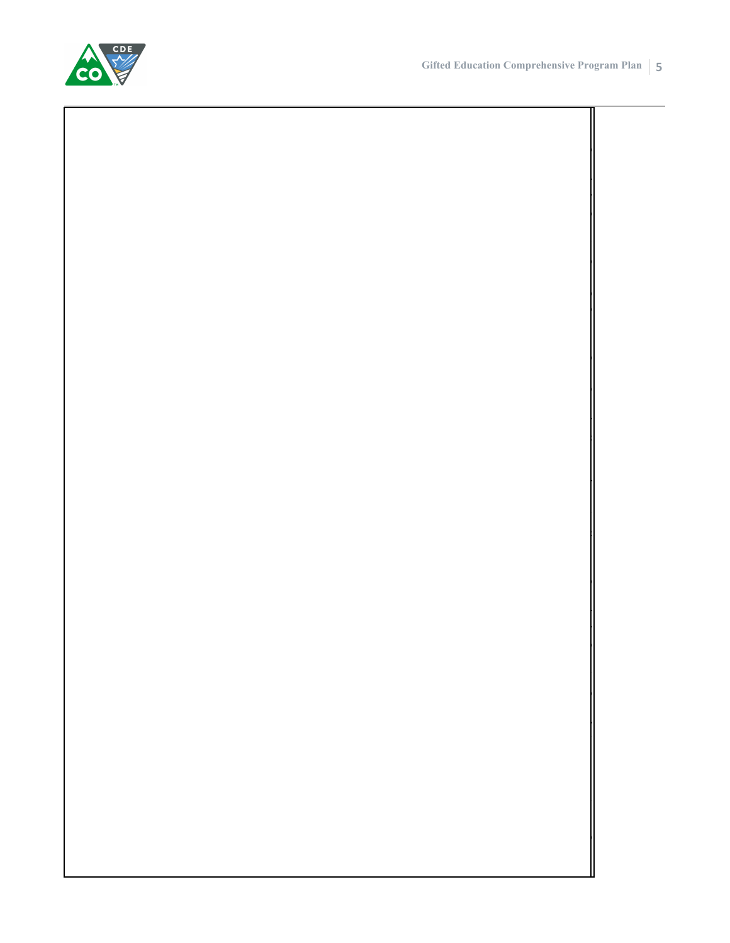

 $\mathbf{I}$  $\mathbf{I}$  $\overline{\phantom{a}}$ t f  $\mathbf{I}$ l i  $\mathbf{I}$ 

 $\overline{\phantom{a}}$  $\mathbf{I}$  $\mathsf{L}$  $\mathbf{I}$  $\mathbf{I}$  $\mathbf{I}$  $\mathsf{I}$  $\mathbf{I}$ t  $\mathsf{l}$ .

 $\mathbf{I}$  $\mathbf{I}$ i  $\mathsf{l}$ 

 $\mathbf{I}$  $\mathbf{I}$  $\overline{\phantom{a}}$ t f  $\mathbf{I}$ l i  $\mathbf{I}$ 

 $\mathbb{L}$ i l l

i  $\mathbf{I}$  $\overline{\phantom{a}}$ l  $\mathbf{I}$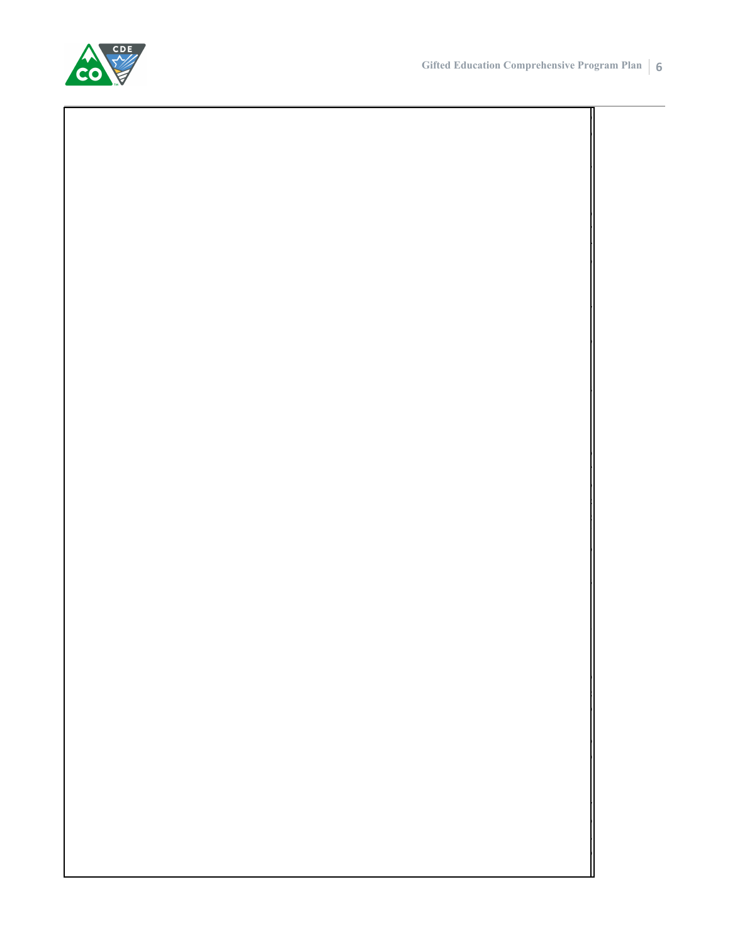

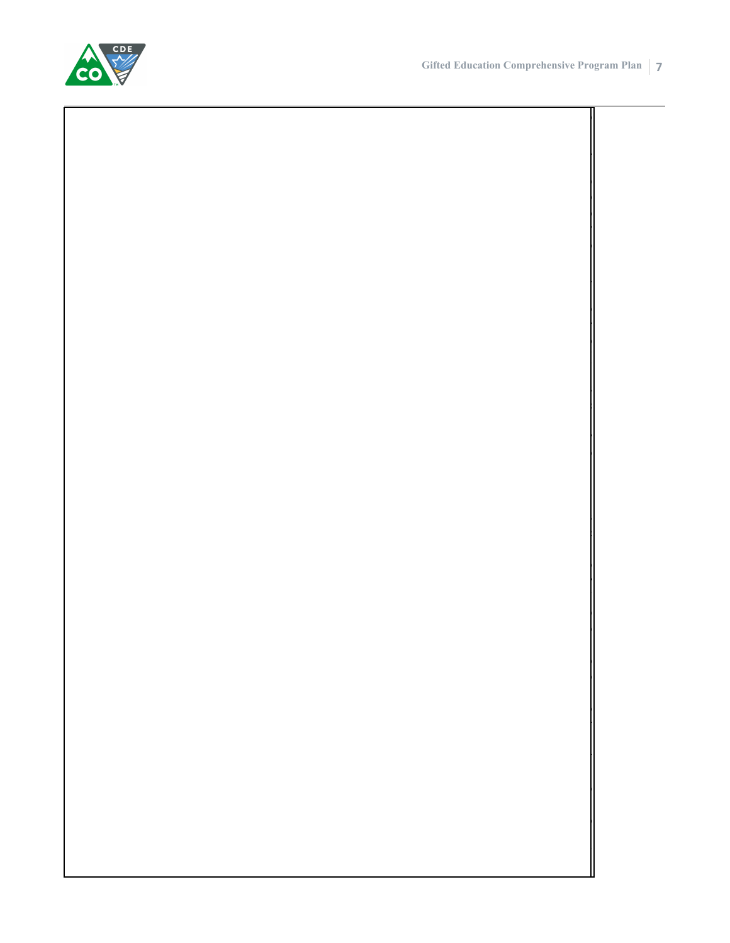

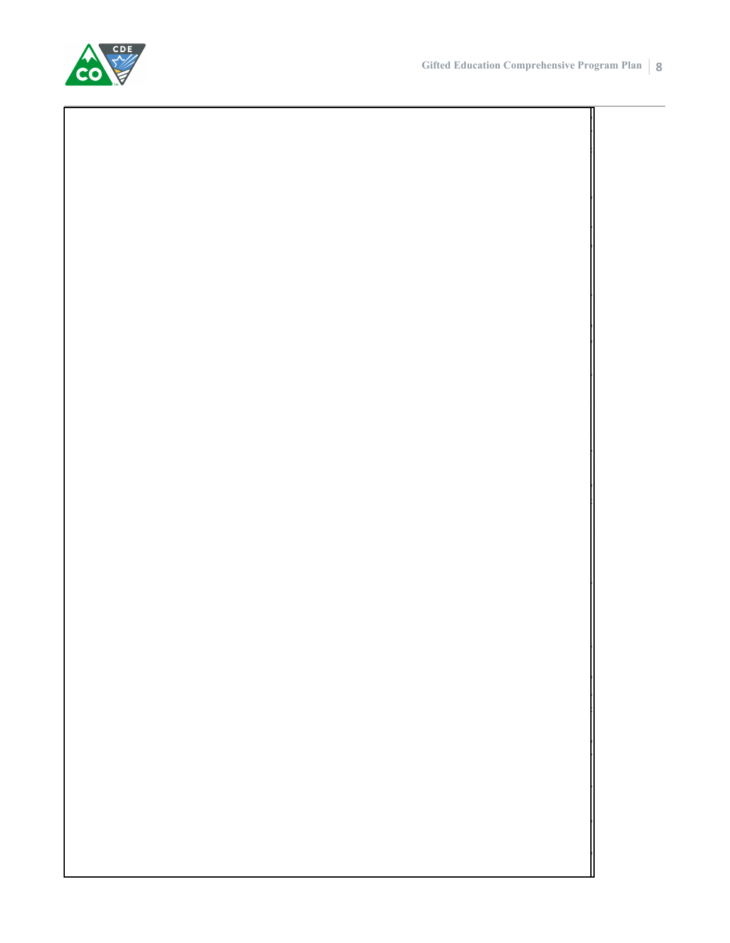

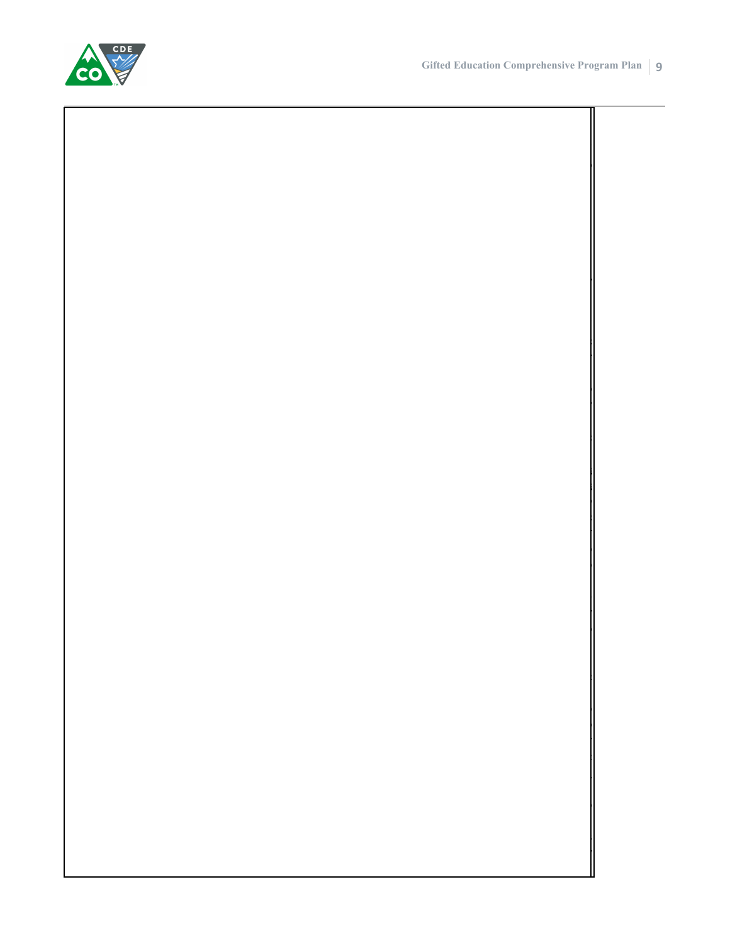

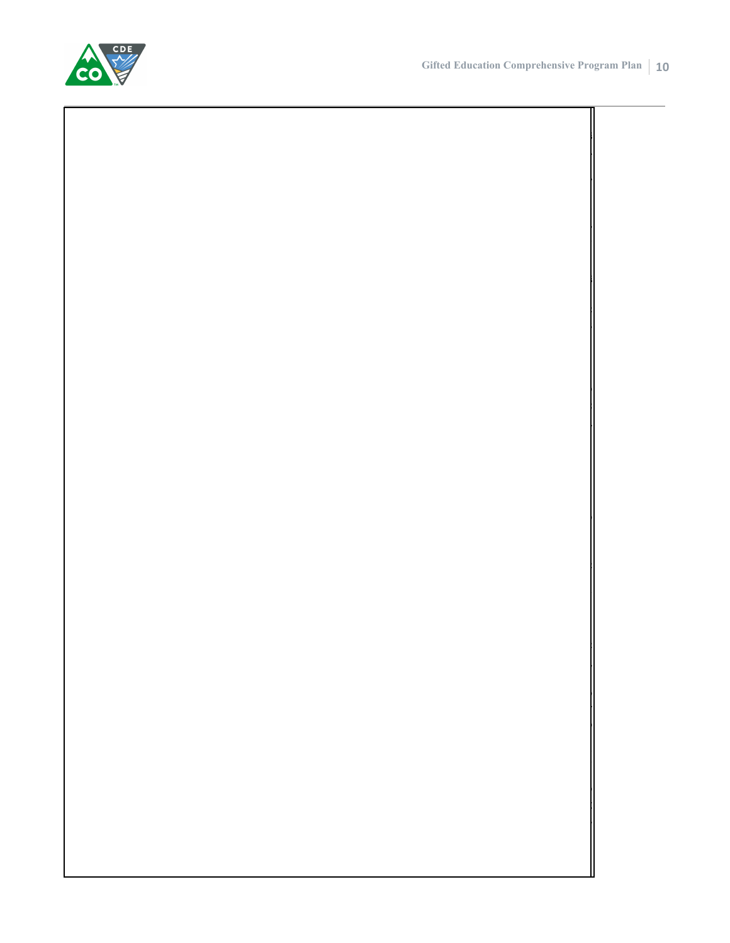

 $\mathbf{I}$  $\mathbf{I}$ ,

 $\mathbf{L}$  $\overline{\phantom{a}}$ i t i  $\mathbf{I}$  $\mathbf{I}$ 

 $\mathsf{l}$  $\mathsf{I}$  $\mathsf{L}$  $\mathbf{I}$ l  $\mathsf{I}$  $\mathsf{l}$ ,

 $\mathbf{I}$  $\mathbf{I}$  $\mathsf{L}$  $\mathbf{I}$  $\mathsf{I}$  $\overline{\phantom{a}}$ 

 $\mathsf{l}$  $\mathsf{l}$ i l l  $\mathsf{l}$ ,

 $\mathsf{I}$ t  $\overline{\phantom{a}}$ . )

 $\mathsf{I}$  $\mathbf{I}$  $\mathsf{I}$  $\mathsf{L}$  $\mathbf{I}$ l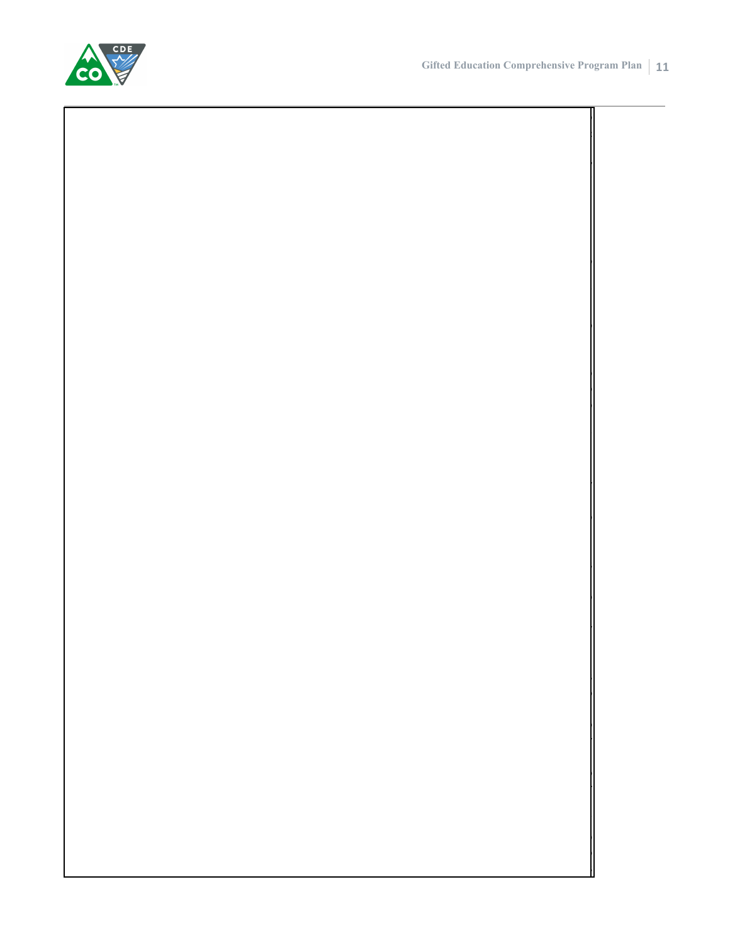

 $\mathsf{I}$  $\mathsf{l}$ 

 $\mathbb{L}$ i l l

 $\mathbf{I}$  $\mathsf{I}$ 

i  $\mathbf{I}$  $\overline{\phantom{a}}$ l  $\mathbf{I}$  $\mathbf{I}$  $\mathsf{I}$  $\mathbf{I}$ 

i  $\mathbf{I}$ 

t  $\mathbf{I}$  $\mathsf{I}$ 

 $\mathbf{I}$  $\mathsf{I}$  $\overline{\phantom{a}}$  $\mathsf{I}$  $\mathbf{I}$ t

 $\mathbf{I}$  $\mathsf{I}$  $\overline{\phantom{a}}$  $\mathbf{I}$  $\mathsf{I}$ t

 $\mathbf{I}$ f

i  $\mathbf{I}$  $\mathsf{I}$  $\mathsf{I}$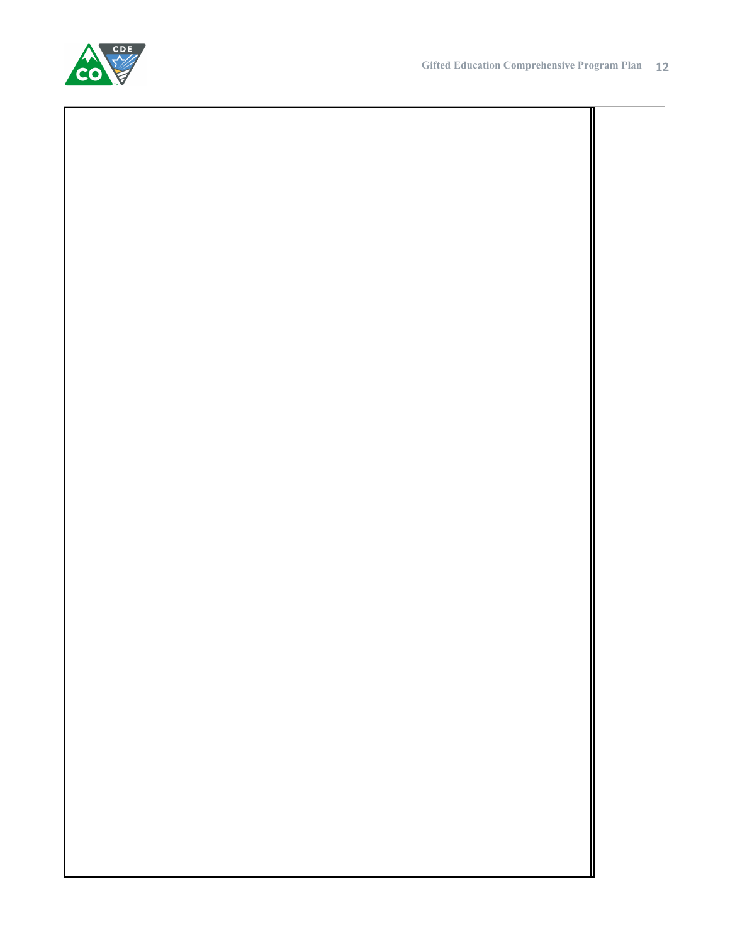

 $\mathsf{l}$ 

 $\mathbf{I}$ f

 $\mathbf{L}$  $\mathbf{I}$  $\mathsf{I}$ t

 $\mathbf{I}$ i  $\mathbf{I}$  $\mathbf{I}$  $\mathsf{l}$ 

 $\mathbf{I}$ f

 $\mathbf{I}$  $\mathsf{I}$  $\overline{\phantom{a}}$ f  $\mathbf{I}$  $\overline{\phantom{a}}$  $\mathsf{L}$  $\mathsf{I}$  $\mathbf{I}$  $\overline{\phantom{a}}$  $\mathsf{I}$ 

 $\mathsf{I}$  $\mathbf{I}$ i  $\mathbf{I}$  $\mathsf{I}$  $\mathbf{I}$  $\overline{\phantom{a}}$  $\mathsf{I}$ 

t  $\mathbf{I}$ 

i  $\mathbf{I}$  $\overline{\phantom{a}}$ l  $\mathbf{I}$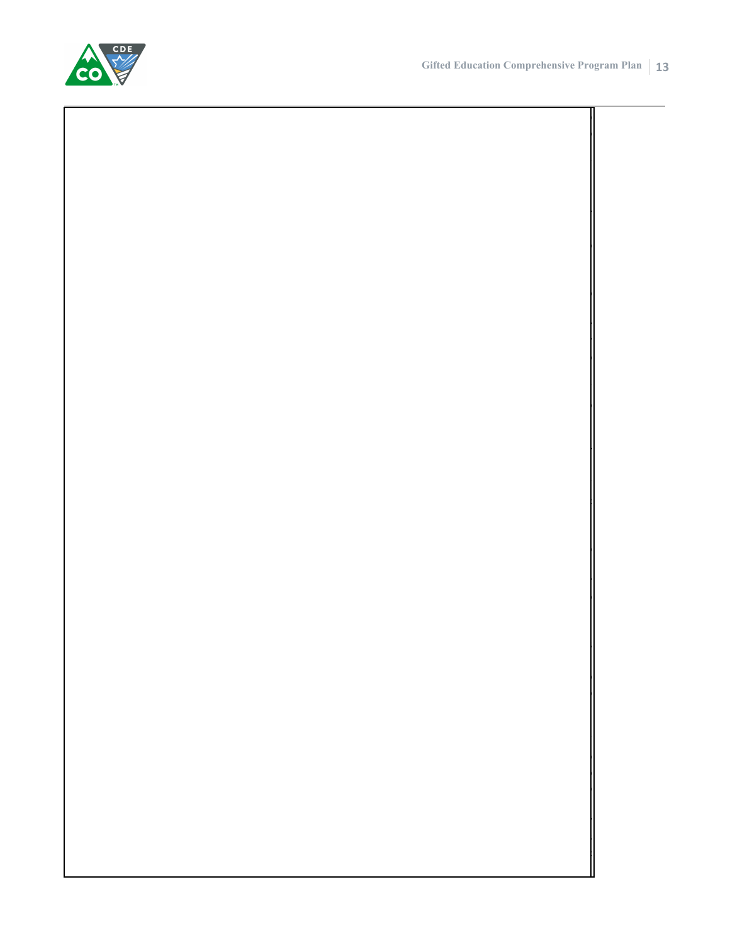

 $\mathbf{I}$  $\mathsf{I}$ 

i  $\mathbf{I}$ 

t  $\mathbf{I}$  $\mathsf{I}$ 

 $\mathbf{I}$  $\mathbf{I}$  $\overline{\phantom{a}}$ t f  $\mathbf{I}$ l i  $\mathbf{I}$ .

 $\mathbf{I}$  $\mathbf{I}$ i  $\mathsf{l}$ 

 $\mathbf{I}$  $\mathsf{I}$  $\overline{\phantom{a}}$ f  $\mathbf{I}$  $\overline{\phantom{a}}$  $\mathsf{L}$  $\mathsf{I}$  $\mathbf{I}$  $\overline{\phantom{a}}$  $\mathsf{I}$ 

 $\mathbf{I}$ i  $\mathsf{I}$  $\overline{\phantom{a}}$  $\mathsf{I}$ 

 $\mathbb{L}$  $\mathsf{I}$  $\mathsf{l}$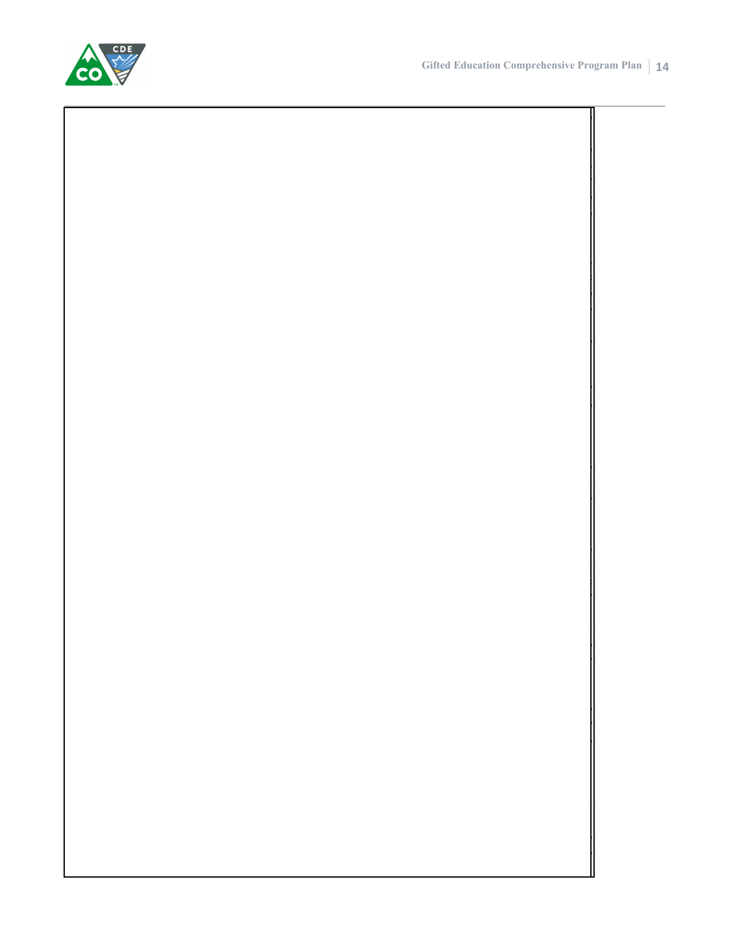

 $\overline{\phantom{a}}$  $\overline{\phantom{a}}$  $\mathsf{I}$  $\mathsf{I}$ t  $\mathsf{I}$  $\mathbf{I}$ 

 $\mathbf{I}$  $\mathsf{I}$  $\mathsf{l}$  $\mathsf{I}$  $\mathbf{I}$ 

 $\mathbf{I}$  $\mathbf{I}$ 

 $\mathbf{L}$  $\mathbf{I}$  $\overline{\phantom{a}}$  $\mathbf{I}$ 

 $\mathbf{L}$ i t  $\mathbf{I}$ 

 $\mathbf{I}$ i  $\mathsf{l}$ t  $\overline{\phantom{a}}$ i  $\overline{\phantom{a}}$ t

l  $\mathsf{I}$  $\mathbf{I}$  $\mathsf{I}$ l

 $\mathbf{I}$ i  $\mathbf{I}$  $\mathbf{I}$  $\mathsf{I}$  $\overline{\phantom{a}}$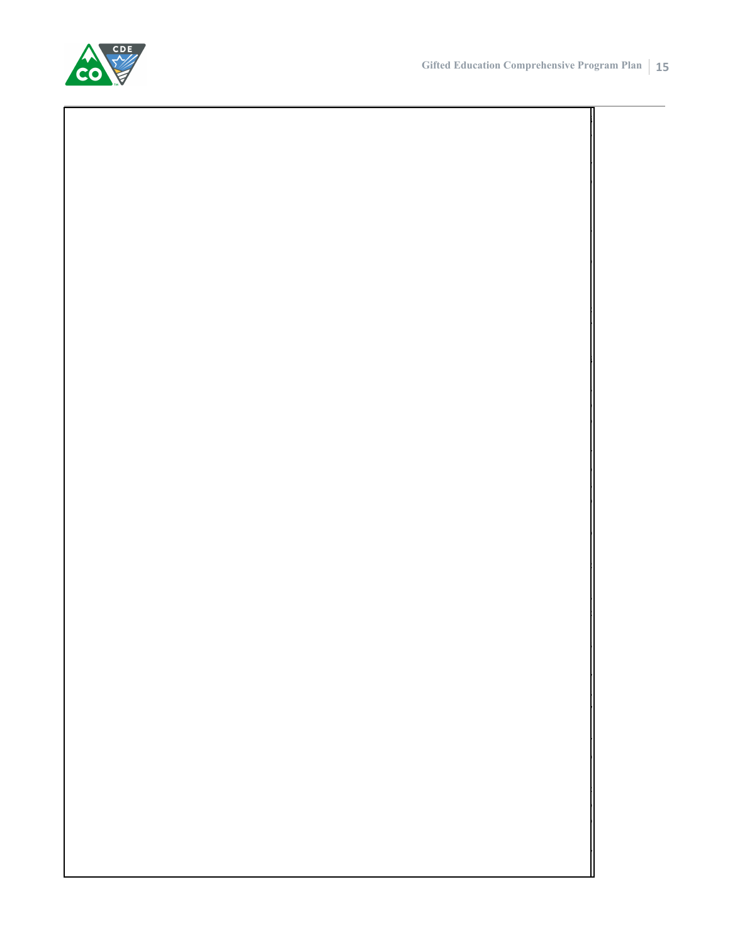

 $\mathbf{I}$  $\mathsf{I}$  $\overline{\phantom{a}}$ t  $\mathsf{I}$  $\mathbf{I}$ 

 $\mathsf{I}$  $\mathbf{I}$  $\mathbf{I}$ 

1  $\mathsf{l}$ t

 $\mathbf{I}$  $\overline{\phantom{a}}$  $\mathsf{I}$  $\mathbf{I}$  $\mathsf{I}$ 

t  $\mathsf{I}$  $\mathsf{I}$  $\overline{\phantom{a}}$  $\mathbf{I}$  $\mathsf{I}$  $\overline{\phantom{a}}$  $\mathsf{l}$ 

 $\mathsf{I}$  $\mathsf{l}$ 

 $\mathsf{I}$ 

 $\mathbf{L}$  $\mathsf{I}$  $\mathbf{I}$ 

t  $\mathbf{I}$ 

 $\mathsf{l}$  $\mathsf{I}$  $\mathsf{I}$ 

 $\mathbf{L}$  $\mathbf{I}$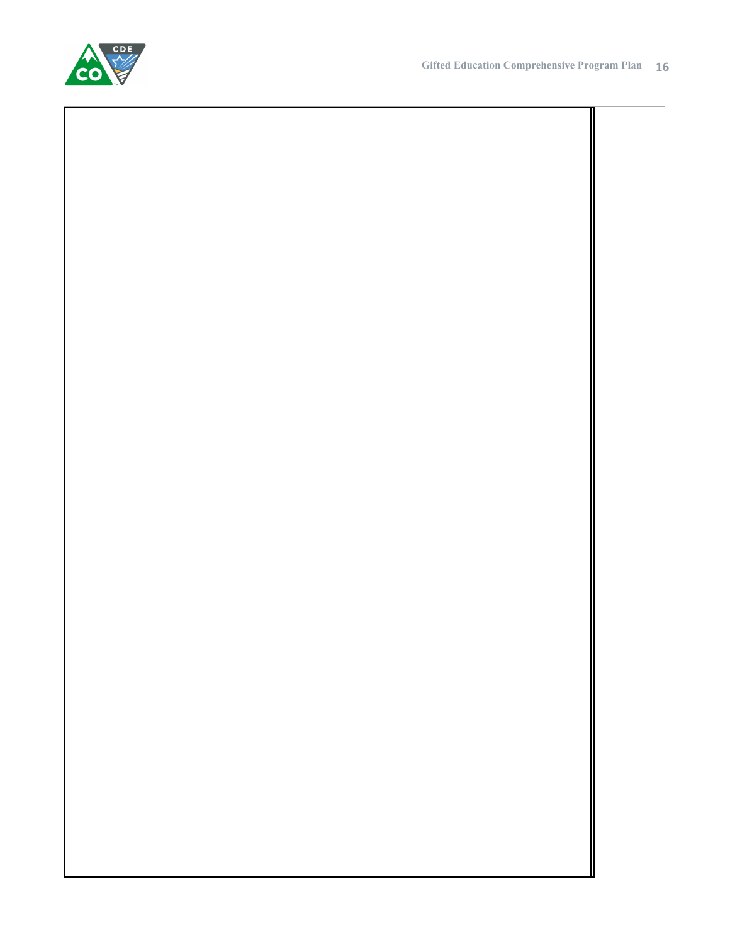

 $\mathsf{I}$ t

 $\overline{\phantom{a}}$  $\mathsf{I}$  $\mathsf{I}$  $\mathbf{I}$ i  $\mathbf{I}$  $\mathsf{I}$  $\mathsf{l}$  $\mathsf{l}$ 

 $\mathsf{l}$  $\mathbf{I}$ i l l  $\mathsf{l}$ 

 $\mathbf{L}$  $\mathsf{I}$  $\overline{\phantom{a}}$  $\mathsf{I}$ 

 $\mathsf{I}$  $\mathbf{I}$  $\mathbf{I}$  $\overline{\phantom{a}}$  $\mathbf{I}$  $\mathbf{I}$  $\overline{\phantom{a}}$ i  $\mathsf{I}$ t  $\mathsf{I}$ 

f  $\mathbf{I}$  $\overline{\phantom{a}}$ 

i  $\mathbf{I}$  $\overline{\phantom{a}}$  $\mathbf{I}$  $\mathsf{L}$ i  $\mathbf{I}$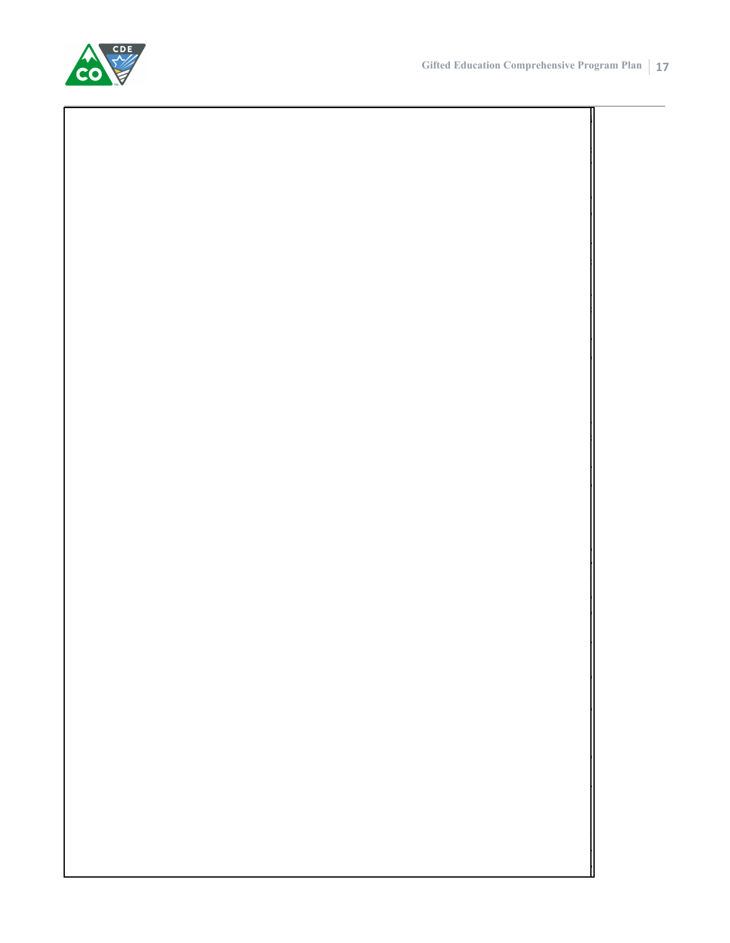

 $\mathbf{I}$ 

 $\mathsf{l}$ t  $\mathbf{I}$  $\mathbf{I}$  $\mathsf{I}$  $\mathbf{I}$ t  $\mathsf{l}$ 

 $\mathsf{I}$  $\mathsf{l}$ 

 $\mathbf{L}$  $\mathsf{I}$ l l

 $\mathsf{I}$  $\mathsf{l}$ 

t  $\mathbf{I}$ 

 $\mathbf{I}$  $\overline{\phantom{a}}$  $\mathbf{I}$  $\mathbf{I}$ i  $\mathbf{I}$  $\mathsf{I}$ 

t  $\mathbf{I}$  $\mathsf{I}$ 

 $\mathbf{I}$  $\mathbf{I}$  $\mathbf{I}$  $\mathbf{I}$  $\overline{\phantom{a}}$ t  $\mathbf{I}$  $\mathbf{I}$ i t  $\mathbf{I}$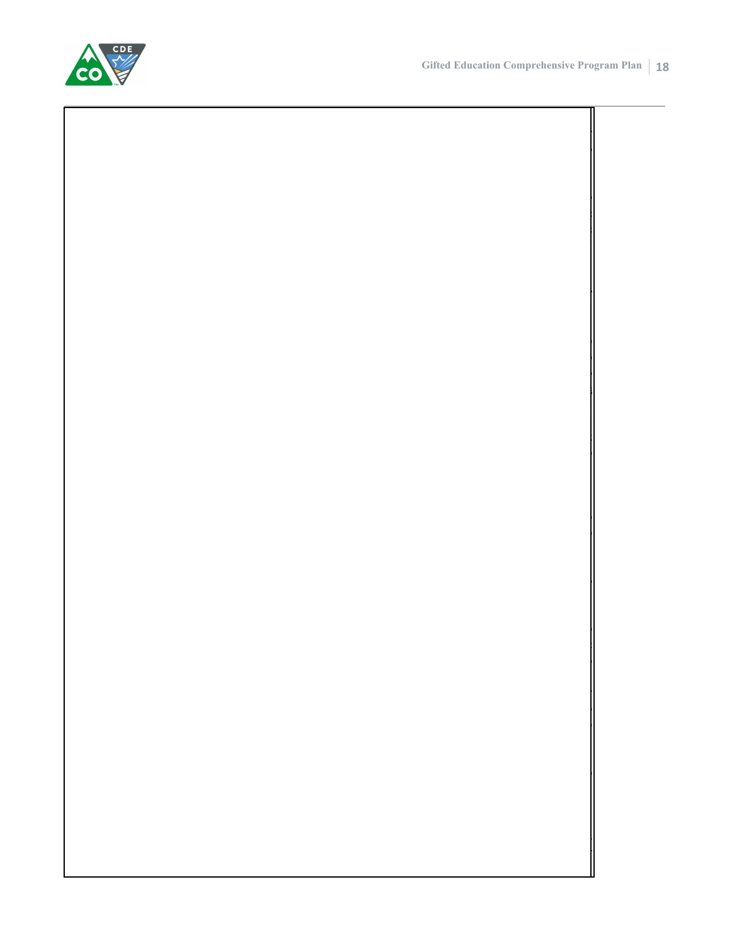

t  $\mathbf{I}$ 

 $\mathbf{I}$  $\mathbf{I}$  $\mathsf{l}$  $\mathsf{l}$ i  $\mathbf{I}$ l  $\mathbf{I}$ 

 $\overline{\phantom{a}}$  $\mathsf{I}$  $\overline{\phantom{a}}$  $\mathbf{I}$  $\mathbf{I}$  $\mathbf{I}$ i  $\mathsf{l}$  $\mathsf{I}$ 

 $\mathbf{I}$  $\mathbf{I}$  $\mathbf{I}$  $\mathsf{I}$  $\overline{\phantom{a}}$  $\overline{\phantom{a}}$  $\mathsf{I}$  $\mathbf{I}$  $\overline{\phantom{a}}$  $\mathsf{I}$  $\mathsf{l}$  $\mathsf{I}$  $\mathbf{I}$ t  $\mathsf{I}$  $\mathbf{I}$ 

 $\mathbf{I}$  $\mathbf{I}$  $\mathbf{I}$  $\mathbf{I}$ l  $\mathsf{I}$ t i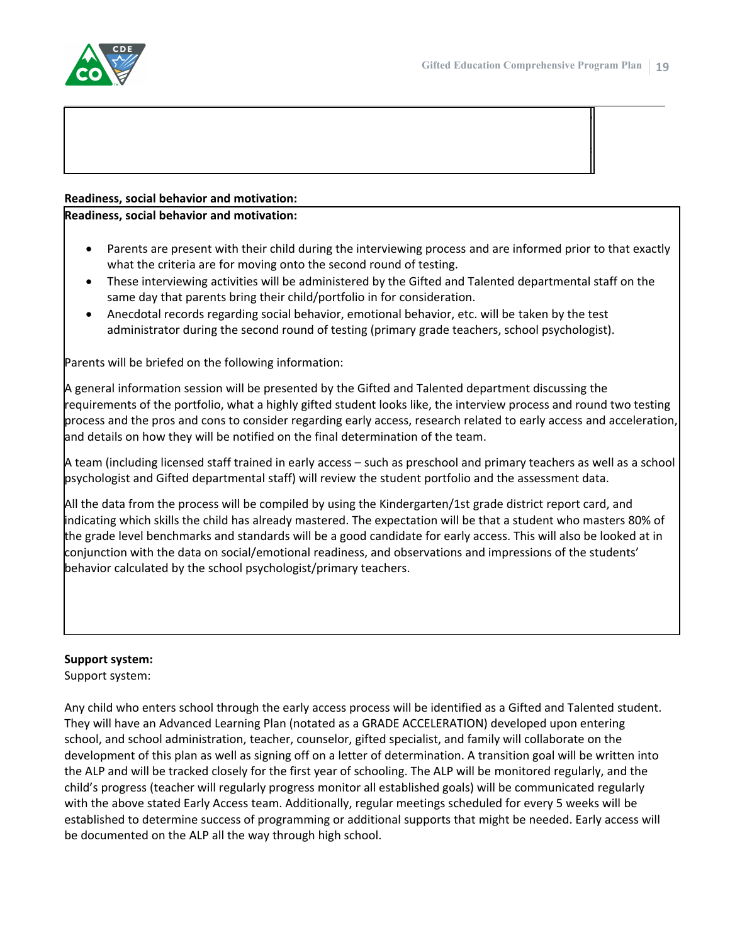

 $\mathbf{I}$  $\mathbf{I}$  $\mathsf{l}$ .

#### **Readiness, social behavior and motivation:**

#### **Readiness, social behavior and motivation:**

- Parents are present with their child during the interviewing process and are informed prior to that exactly what the criteria are for moving onto the second round of testing.
- These interviewing activities will be administered by the Gifted and Talented departmental staff on the same day that parents bring their child/portfolio in for consideration.
- Anecdotal records regarding social behavior, emotional behavior, etc. will be taken by the test administrator during the second round of testing (primary grade teachers, school psychologist).

Parents will be briefed on the following information:

A general information session will be presented by the Gifted and Talented department discussing the requirements of the portfolio, what a highly gifted student looks like, the interview process and round two testing process and the pros and cons to consider regarding early access, research related to early access and acceleration, and details on how they will be notified on the final determination of the team.

A team (including licensed staff trained in early access – such as preschool and primary teachers as well as a school psychologist and Gifted departmental staff) will review the student portfolio and the assessment data.

All the data from the process will be compiled by using the Kindergarten/1st grade district report card, and indicating which skills the child has already mastered. The expectation will be that a student who masters 80% of the grade level benchmarks and standards will be a good candidate for early access. This will also be looked at in conjunction with the data on social/emotional readiness, and observations and impressions of the students' behavior calculated by the school psychologist/primary teachers.

#### **Support system:**

Support system:

Any child who enters school through the early access process will be identified as a Gifted and Talented student. They will have an Advanced Learning Plan (notated as a GRADE ACCELERATION) developed upon entering school, and school administration, teacher, counselor, gifted specialist, and family will collaborate on the development of this plan as well as signing off on a letter of determination. A transition goal will be written into the ALP and will be tracked closely for the first year of schooling. The ALP will be monitored regularly, and the child's progress (teacher will regularly progress monitor all established goals) will be communicated regularly with the above stated Early Access team. Additionally, regular meetings scheduled for every 5 weeks will be established to determine success of programming or additional supports that might be needed. Early access will be documented on the ALP all the way through high school.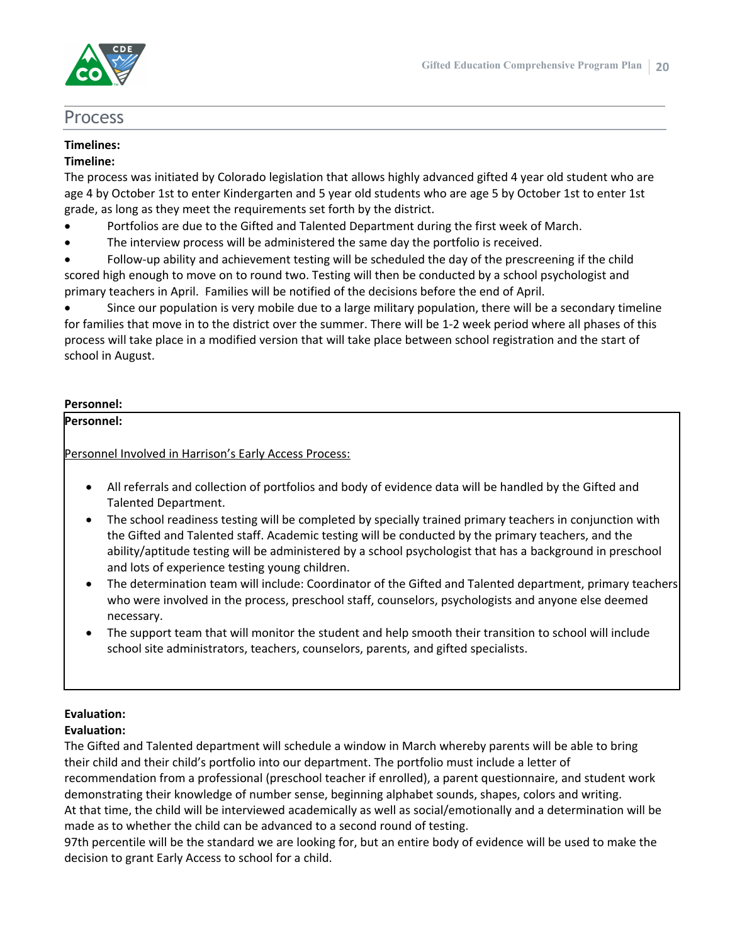

# Process

### **Timelines:**

### **Timeline:**

The process was initiated by Colorado legislation that allows highly advanced gifted 4 year old student who are age 4 by October 1st to enter Kindergarten and 5 year old students who are age 5 by October 1st to enter 1st grade, as long as they meet the requirements set forth by the district.

- Portfolios are due to the Gifted and Talented Department during the first week of March.
- The interview process will be administered the same day the portfolio is received.

 Follow-up ability and achievement testing will be scheduled the day of the prescreening if the child scored high enough to move on to round two. Testing will then be conducted by a school psychologist and primary teachers in April. Families will be notified of the decisions before the end of April.

 Since our population is very mobile due to a large military population, there will be a secondary timeline for families that move in to the district over the summer. There will be 1-2 week period where all phases of this process will take place in a modified version that will take place between school registration and the start of school in August.

#### **Personnel:**

| Personnel:                                                                                                                                                                                                                                                                                                                                                                    |
|-------------------------------------------------------------------------------------------------------------------------------------------------------------------------------------------------------------------------------------------------------------------------------------------------------------------------------------------------------------------------------|
| Personnel Involved in Harrison's Early Access Process:                                                                                                                                                                                                                                                                                                                        |
| All referrals and collection of portfolios and body of evidence data will be handled by the Gifted and<br><b>Talented Department.</b>                                                                                                                                                                                                                                         |
| The school readiness testing will be completed by specially trained primary teachers in conjunction with<br>the Gifted and Talented staff. Academic testing will be conducted by the primary teachers, and the<br>ability/aptitude testing will be administered by a school psychologist that has a background in preschool<br>and lots of experience testing young children. |
| The determination team will include: Coordinator of the Gifted and Talented department, primary teachers<br>who were involved in the process, preschool staff, counselors, psychologists and anyone else deemed<br>necessary.                                                                                                                                                 |

 The support team that will monitor the student and help smooth their transition to school will include school site administrators, teachers, counselors, parents, and gifted specialists.

# **Evaluation:**

## **Evaluation:**

The Gifted and Talented department will schedule a window in March whereby parents will be able to bring their child and their child's portfolio into our department. The portfolio must include a letter of recommendation from a professional (preschool teacher if enrolled), a parent questionnaire, and student work demonstrating their knowledge of number sense, beginning alphabet sounds, shapes, colors and writing. At that time, the child will be interviewed academically as well as social/emotionally and a determination will be made as to whether the child can be advanced to a second round of testing.

97th percentile will be the standard we are looking for, but an entire body of evidence will be used to make the decision to grant Early Access to school for a child.